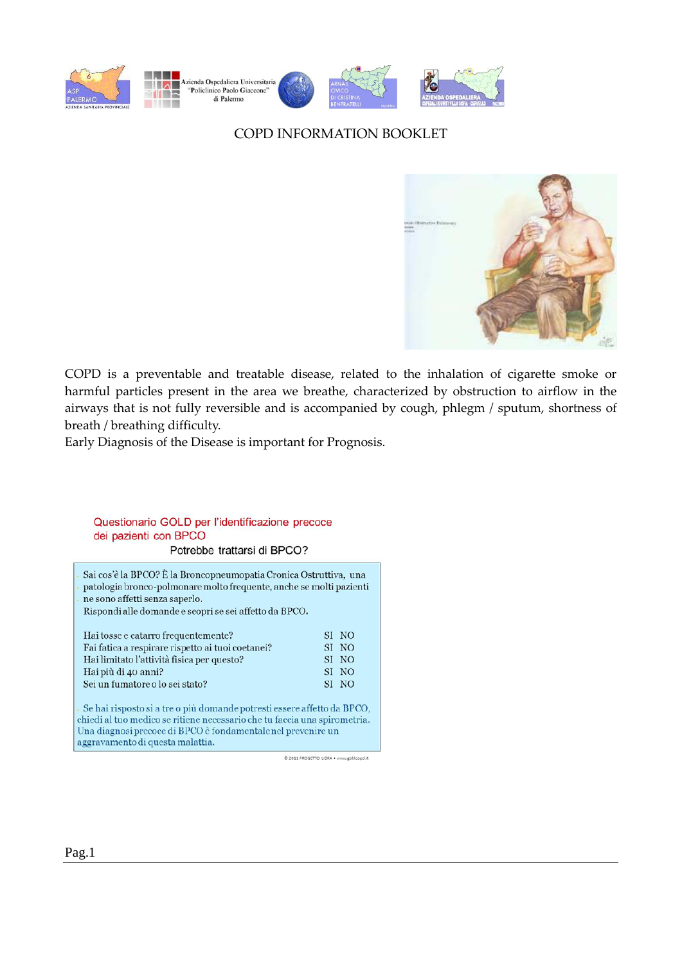

## COPD INFORMATION BOOKLET



COPD is a preventable and treatable disease, related to the inhalation of cigarette smoke or harmful particles present in the area we breathe, characterized by obstruction to airflow in the airways that is not fully reversible and is accompanied by cough, phlegm / sputum, shortness of breath / breathing difficulty.

Early Diagnosis of the Disease is important for Prognosis.

## Questionario GOLD per l'identificazione precoce dei pazienti con BPCO

Potrebbe trattarsi di BPCO?

Sai cos'è la BPCO? È la Broncopneumopatia Cronica Ostruttiva, una patologia bronco-polmonare molto frequente, anche se molti pazienti ne sono affetti senza saperlo.

Rispondi alle domande e scopri se sei affetto da BPCO.

| Hai tosse e catarro frequentemente?               | SI NO |
|---------------------------------------------------|-------|
| Fai fatica a respirare rispetto ai tuoi coetanei? | SI NO |
| Hai limitato l'attività fisica per questo?        | SI NO |
| Hai più di 40 anni?                               | SI NO |
| Sei un fumatore o lo sei stato?                   | SI NO |
|                                                   |       |

Se hai risposto sì a tre o più domande potresti essere affetto da BPCO, chiedi al tuo medico se ritiene necessario che tu faccia una spirometria. Una diagnosi precoce di BPCO è fondamentale nel prevenire un aggravamento di questa malattia.

@ 2011 PROGETTO LIBRA . www.goldcopd.it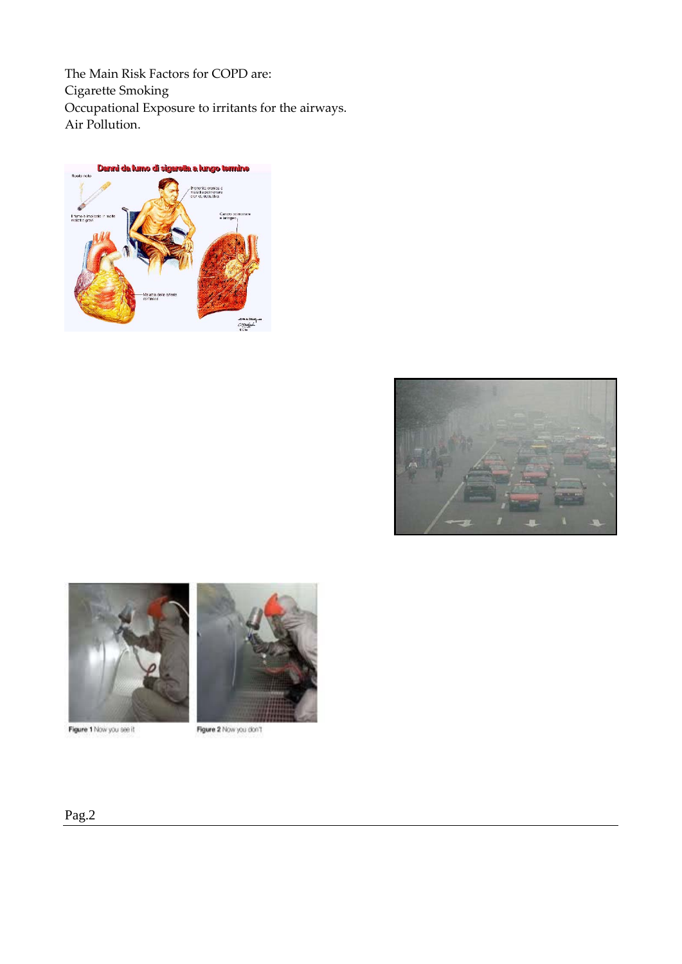The Main Risk Factors for COPD are: Cigarette Smoking Occupational Exposure to irritants for the airways. Air Pollution.







Figure 1 Now you see it



Figure 2 Now you don't

## Pag.2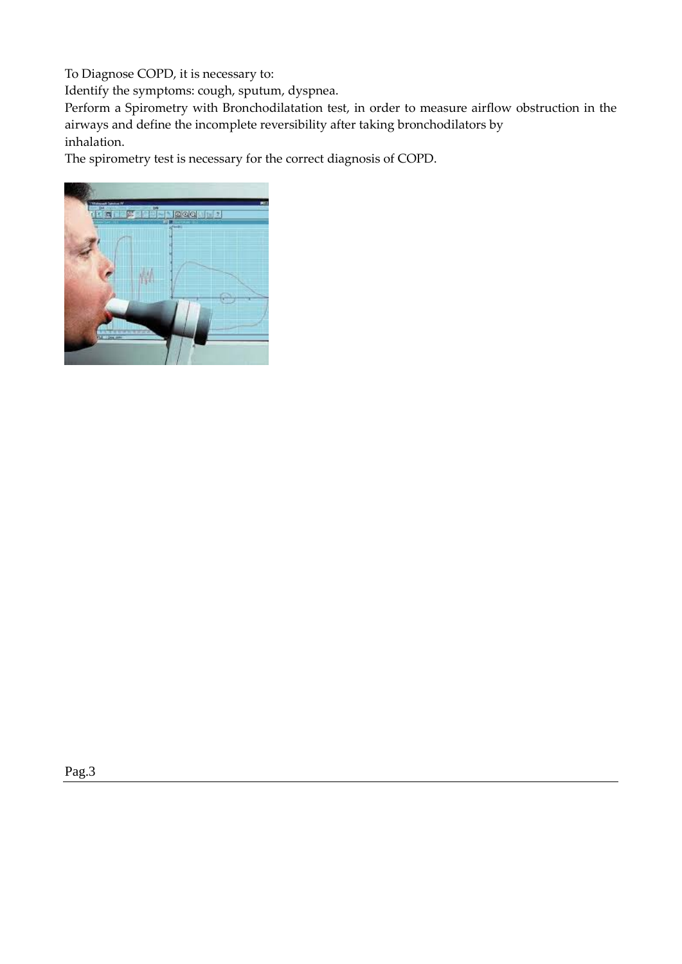To Diagnose COPD, it is necessary to:

Identify the symptoms: cough, sputum, dyspnea.

Perform a Spirometry with Bronchodilatation test, in order to measure airflow obstruction in the airways and define the incomplete reversibility after taking bronchodilators by inhalation.

The spirometry test is necessary for the correct diagnosis of COPD.

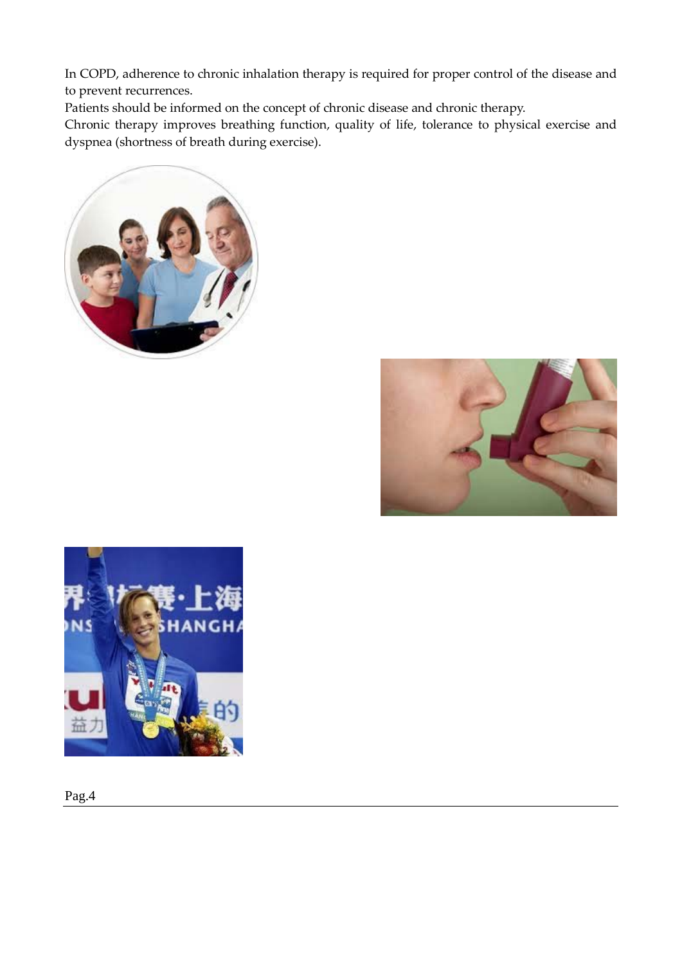In COPD, adherence to chronic inhalation therapy is required for proper control of the disease and to prevent recurrences.

Patients should be informed on the concept of chronic disease and chronic therapy.

Chronic therapy improves breathing function, quality of life, tolerance to physical exercise and dyspnea (shortness of breath during exercise).







Pag.4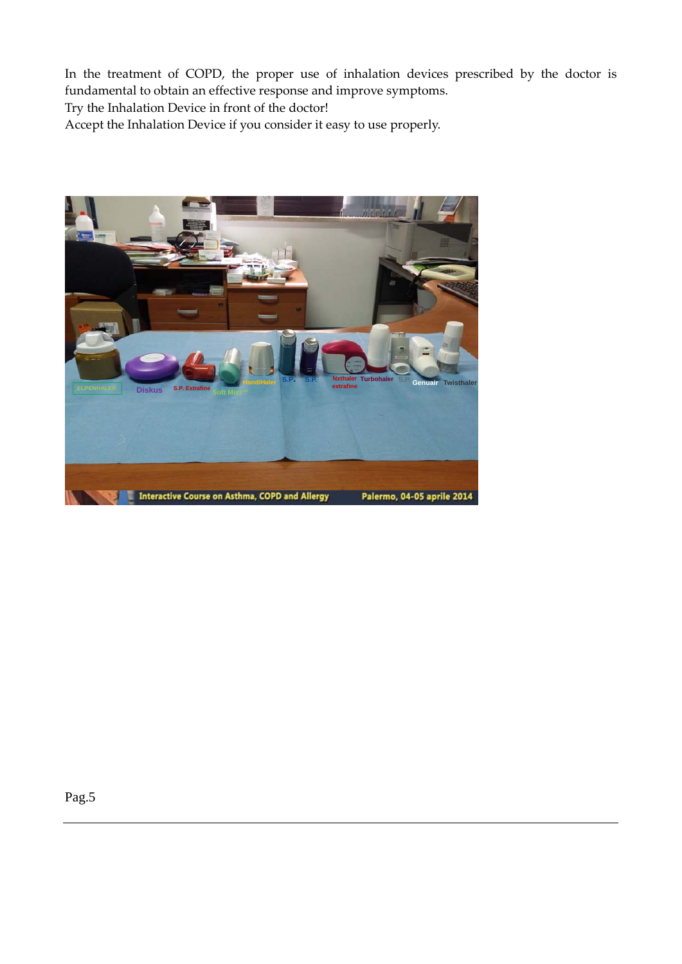In the treatment of COPD, the proper use of inhalation devices prescribed by the doctor is fundamental to obtain an effective response and improve symptoms.

Try the Inhalation Device in front of the doctor!

Accept the Inhalation Device if you consider it easy to use properly.